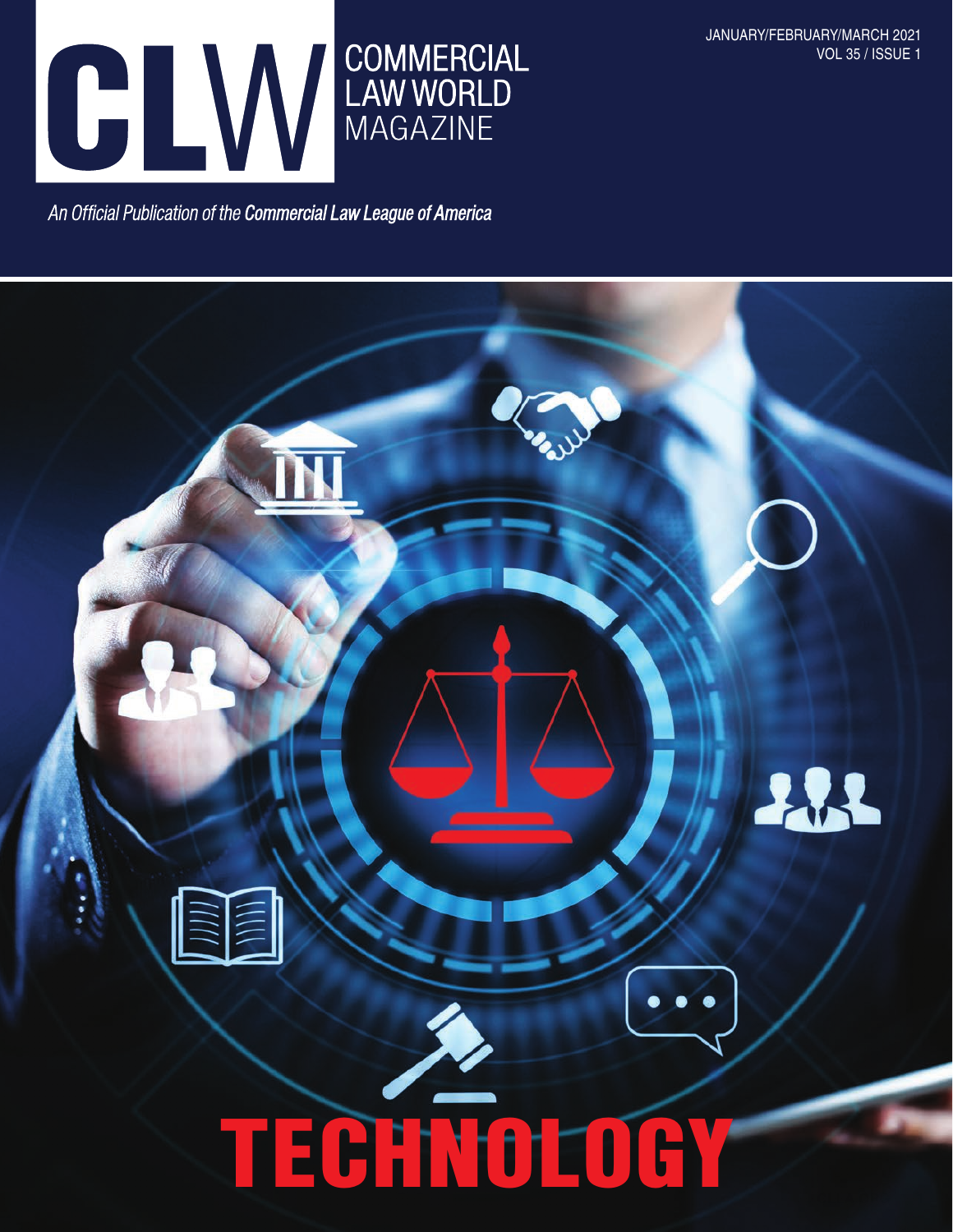

JANUARY/FEBRUARY/MARCH 2021 VOL 35 / ISSUE 1

An Official Publication of the Commercial Law League of America

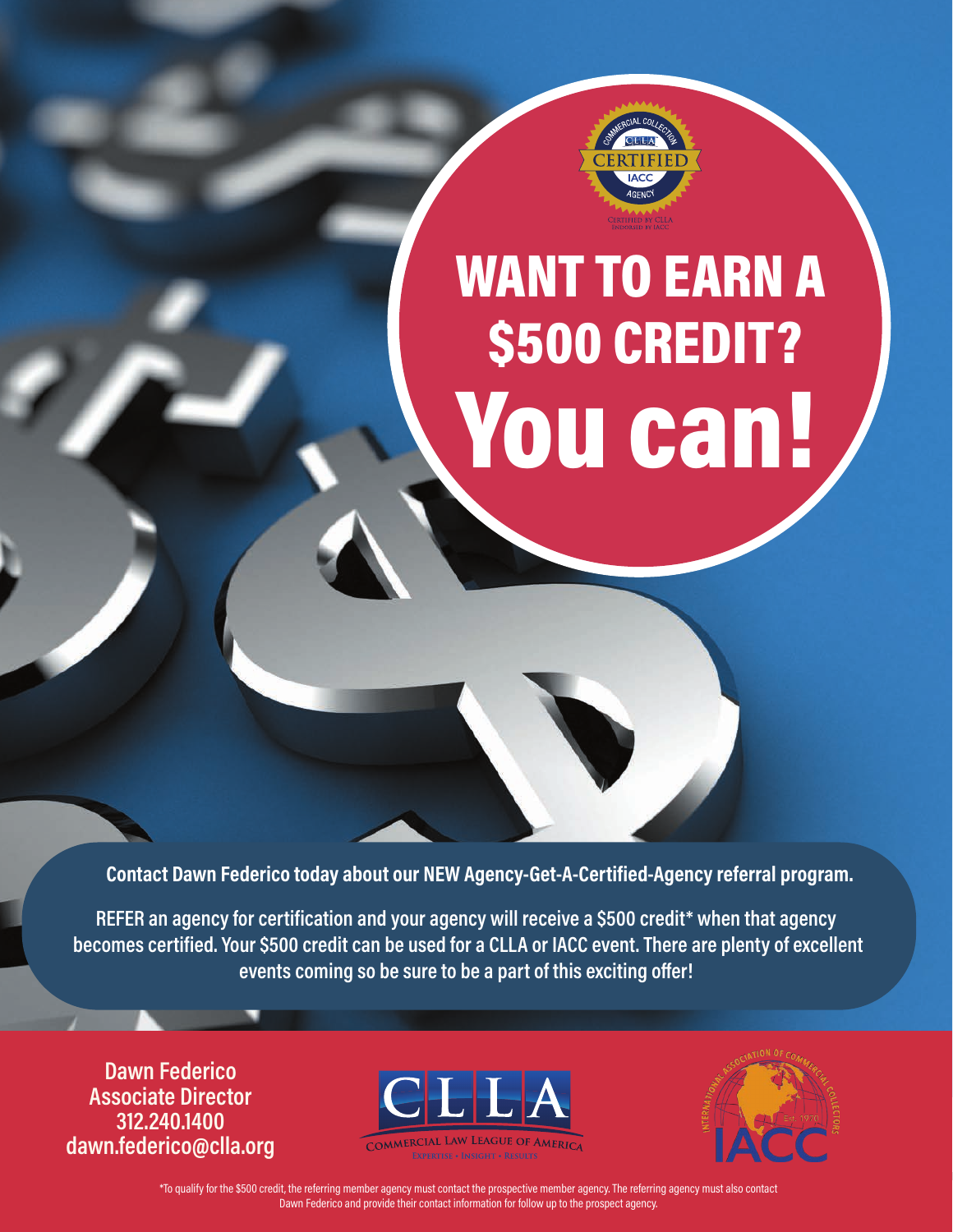

# WANT TO EARN A \$500 CREDIT? You can!

**Contact Dawn Federico today about our NEW Agency-Get-A-Certified-Agency referral program.**

**REFER an agency for certification and your agency will receive a \$500 credit\* when that agency becomes certified. Your \$500 credit can be used for a CLLA or IACC event. There are plenty of excellent events coming so be sure to be a part of this exciting offer!**

**Dawn Federico Associate Director 312.240.1400 dawn.federico@clla.org**





no quanty for the sourcrealt, the relemng member agency must contact the prospective member agency. The relemng agency must also contact أأن المساجد المساجد المساجد المساجد المساجد المساجد المساجد المساجد المساجد المساجد ا \*To qualify for the \$500 credit, the referring member agency must contact the prospective member agency. The referring agency must also contact